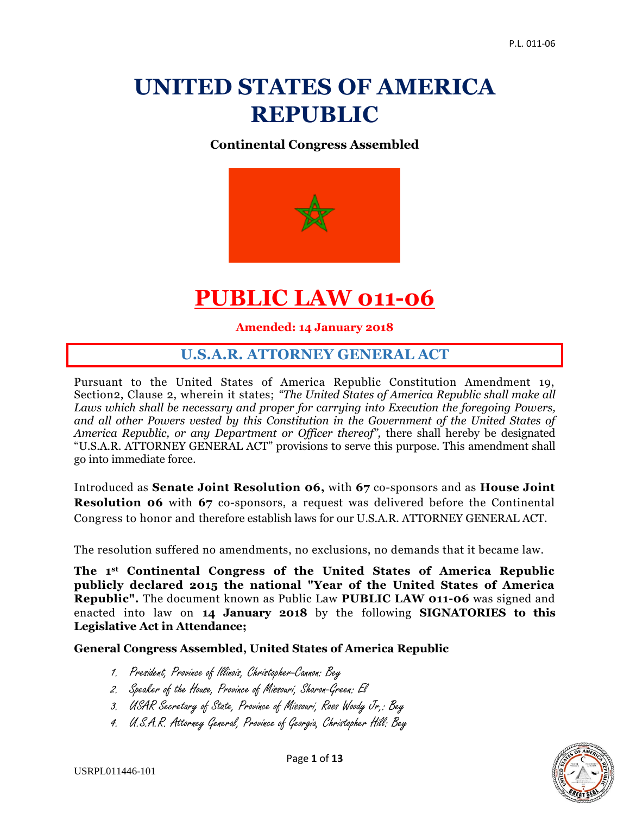# **UNITED STATES OF AMERICA REPUBLIC**

#### **Continental Congress Assembled**



# **PUBLIC LAW 011-06**

**Amended: 14 January 2018**

# **U.S.A.R. ATTORNEY GENERAL ACT**

Pursuant to the United States of America Republic Constitution Amendment 19, Section2, Clause 2, wherein it states; *"The United States of America Republic shall make all Laws which shall be necessary and proper for carrying into Execution the foregoing Powers, and all other Powers vested by this Constitution in the Government of the United States of America Republic, or any Department or Officer thereof",* there shall hereby be designated "U.S.A.R. ATTORNEY GENERAL ACT" provisions to serve this purpose. This amendment shall go into immediate force.

Introduced as **Senate Joint Resolution 06,** with **67** co-sponsors and as **House Joint Resolution 06** with **67** co-sponsors, a request was delivered before the Continental Congress to honor and therefore establish laws for our U.S.A.R. ATTORNEY GENERAL ACT.

The resolution suffered no amendments, no exclusions, no demands that it became law.

**The 1st Continental Congress of the United States of America Republic publicly declared 2015 the national "Year of the United States of America Republic".** The document known as Public Law **PUBLIC LAW 011-06** was signed and enacted into law on **14 January 2018** by the following **SIGNATORIES to this Legislative Act in Attendance;**

#### **General Congress Assembled, United States of America Republic**

- 1. President, Province of Illinois, Christopher-Cannon: Bey
- 2. Speaker of the House, Province of Missouri, Sharon-Green: El
- 3. USAR Secretary of State, Province of Missouri, Ross Woody Jr,: Bey
- 4. U.S.A.R. Attorney General, Province of Georgia, Christopher Hill: Bey

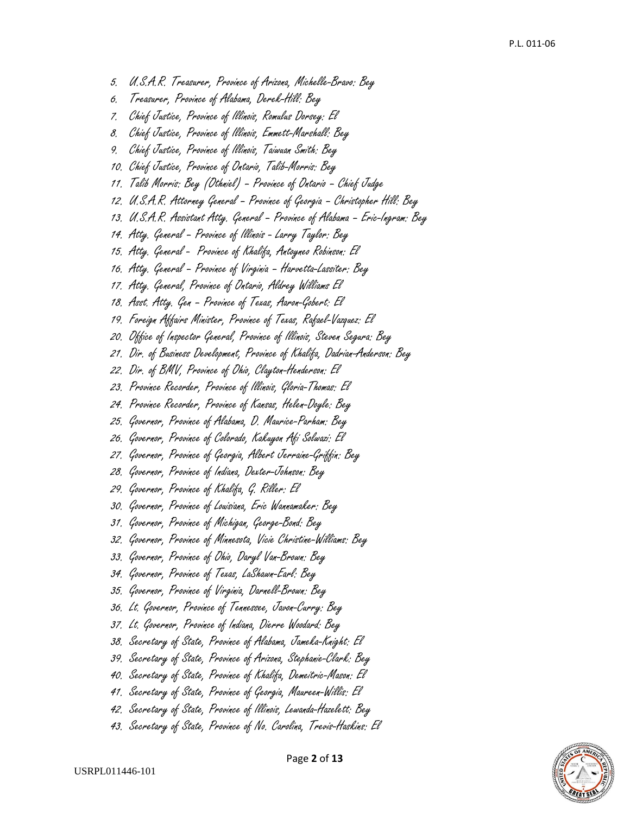- 5. U.S.A.R. Treasurer, Province of Arizona, Michelle-Bravo: Bey
- 6. Treasurer, Province of Alabama, Derek-Hill: Bey
- 7. Chief Justice, Province of Illinois, Romulus Dorsey: El
- 8. Chief Justice, Province of Illinois, Emmett-Marshall: Bey
- 9. Chief Justice, Province of Illinois, Taiwuan Smith: Bey
- 10. Chief Justice, Province of Ontario, Talib-Morris: Bey
- 11. Talib Morris: Bey (Othniel) Province of Ontario Chief Judge
- 12. U.S.A.R. Attorney General Province of Georgia Christopher Hill: Bey
- 13. U.S.A.R. Assistant Atty. General Province of Alabama Eric-Ingram: Bey
- 14. Atty. General Province of Illinois Larry Taylor: Bey
- 15. Atty. General Province of Khalifa, Antoyneo Robinson: El
- 16. Atty. General Province of Virginia Harvetta-Lassiter: Bey
- 17. Atty. General, Province of Ontario, Aldrey Williams El
- 18. Asst. Atty. Gen Province of Texas, Aaron-Gobert: El
- 19. Foreign Affairs Minister, Province of Texas, Rafael-Vazquez: El
- 20. Office of Inspector General, Province of Illinois, Steven Segura: Bey
- 21. Dir. of Business Development, Province of Khalifa, Dadrian-Anderson: Bey
- 22. Dir. of BMV, Province of Ohio, Clayton-Henderson: El
- 23. Province Recorder, Province of Illinois, Gloria-Thomas: El
- 24. Province Recorder, Province of Kansas, Helen-Doyle: Bey
- 25. Governor, Province of Alabama, D. Maurice-Parham: Bey
- 26. Governor, Province of Colorado, Kakuyon Afi Solwazi: El
- 27. Governor, Province of Georgia, Albert Jerraine-Griffin: Bey
- 28. Governor, Province of Indiana, Dexter-Johnson: Bey
- 29. Governor, Province of Khalifa, G. Riller: El
- 30. Governor, Province of Louisiana, Eric Wannamaker: Bey
- 31. Governor, Province of Michigan, George-Bond: Bey
- 32. Governor, Province of Minnesota, Vicie Christine-Williams: Bey
- 33. Governor, Province of Ohio, Daryl Van-Brown: Bey
- 34. Governor, Province of Texas, LaShawn-Earl: Bey
- 35. Governor, Province of Virginia, Darnell-Brown: Bey
- 36. Lt. Governor, Province of Tennessee, Javon-Curry: Bey
- 37. Lt. Governor, Province of Indiana, Dierre Woodard: Bey
- 38. Secretary of State, Province of Alabama, Jameka-Knight: El
- 39. Secretary of State, Province of Arizona, Stephanie-Clark: Bey
- 40. Secretary of State, Province of Khalifa, Demeitric-Mason: El
- 41. Secretary of State, Province of Georgia, Maureen-Willis: El
- 42. Secretary of State, Province of Illinois, Lewanda-Hazelett: Bey
- 43. Secretary of State, Province of No. Carolina, Trevis-Haskins: El

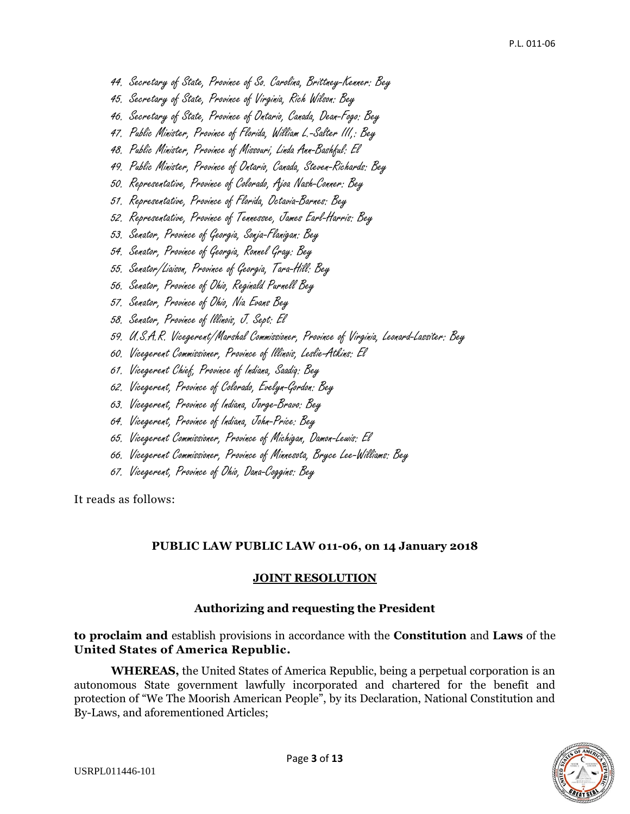- 44. Secretary of State, Province of So. Carolina, Brittney-Kenner: Bey
- 45. Secretary of State, Province of Virginia, Rich Wilson: Bey
- 46. Secretary of State, Province of Ontario, Canada, Dean-Fogo: Bey
- 47. Public Minister, Province of Florida, William L.-Salter III,: Bey
- 48. Public Minister, Province of Missouri, Linda Ann-Bashful: El
- 49. Public Minister, Province of Ontario, Canada, Steven-Richards: Bey
- 50. Representative, Province of Colorado, Ajoa Nash-Conner: Bey
- 51. Representative, Province of Florida, Octavia-Barnes: Bey
- 52. Representative, Province of Tennessee, James Earl-Harris: Bey
- 53. Senator, Province of Georgia, Sonja-Flanigan: Bey
- 54. Senator, Province of Georgia, Ronnel Gray: Bey
- 55. Senator/Liaison, Province of Georgia, Tara-Hill: Bey
- 56. Senator, Province of Ohio, Reginald Purnell Bey
- 57. Senator, Province of Ohio, Nia Evans Bey
- 58. Senator, Province of Illinois, J. Sept: El
- 59. U.S.A.R. Vicegerent/Marshal Commissioner, Province of Virginia, Leonard-Lassiter: Bey
- 60. Vicegerent Commissioner, Province of Illinois, Leslie-Atkins: El
- 61. Vicegerent Chief, Province of Indiana, Saadiq: Bey
- 62. Vicegerent, Province of Colorado, Evelyn-Gordon: Bey
- 63. Vicegerent, Province of Indiana, Jorge-Bravo: Bey
- 64. Vicegerent, Province of Indiana, John-Price: Bey
- 65. Vicegerent Commissioner, Province of Michigan, Damon-Lewis: El
- 66. Vicegerent Commissioner, Province of Minnesota, Bryce Lee-Williams: Bey
- 67. Vicegerent, Province of Ohio, Dana-Coggins: Bey

It reads as follows:

#### **PUBLIC LAW PUBLIC LAW 011-06, on 14 January 2018**

#### **JOINT RESOLUTION**

#### **Authorizing and requesting the President**

#### **to proclaim and** establish provisions in accordance with the **Constitution** and **Laws** of the **United States of America Republic.**

**WHEREAS,** the United States of America Republic, being a perpetual corporation is an autonomous State government lawfully incorporated and chartered for the benefit and protection of "We The Moorish American People", by its Declaration, National Constitution and By-Laws, and aforementioned Articles;

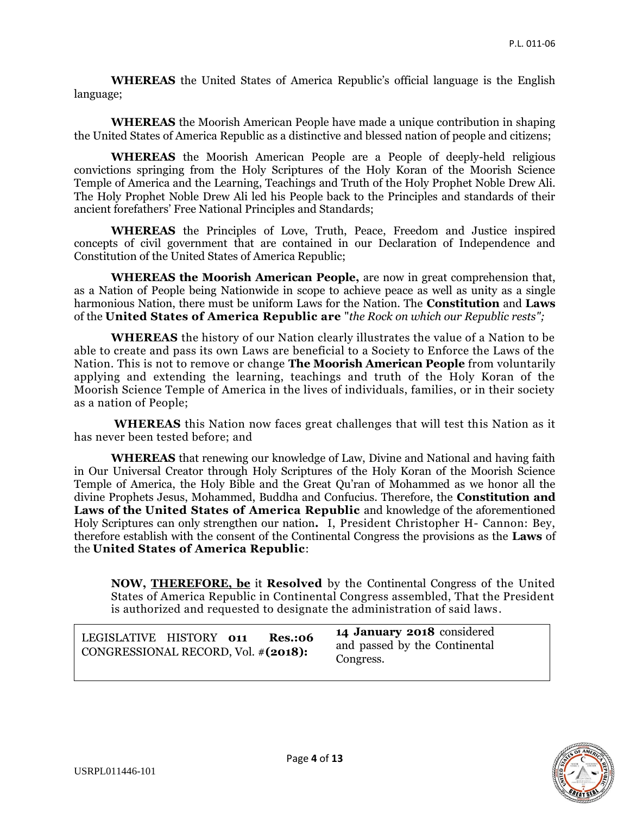**WHEREAS** the United States of America Republic's official language is the English language;

**WHEREAS** the Moorish American People have made a unique contribution in shaping the United States of America Republic as a distinctive and blessed nation of people and citizens;

**WHEREAS** the Moorish American People are a People of deeply-held religious convictions springing from the Holy Scriptures of the Holy Koran of the Moorish Science Temple of America and the Learning, Teachings and Truth of the Holy Prophet Noble Drew Ali. The Holy Prophet Noble Drew Ali led his People back to the Principles and standards of their ancient forefathers' Free National Principles and Standards;

**WHEREAS** the Principles of Love, Truth, Peace, Freedom and Justice inspired concepts of civil government that are contained in our Declaration of Independence and Constitution of the United States of America Republic;

**WHEREAS the Moorish American People,** are now in great comprehension that, as a Nation of People being Nationwide in scope to achieve peace as well as unity as a single harmonious Nation, there must be uniform Laws for the Nation. The **Constitution** and **Laws** of the **United States of America Republic are** "*the Rock on which our Republic rests";*

**WHEREAS** the history of our Nation clearly illustrates the value of a Nation to be able to create and pass its own Laws are beneficial to a Society to Enforce the Laws of the Nation. This is not to remove or change **The Moorish American People** from voluntarily applying and extending the learning, teachings and truth of the Holy Koran of the Moorish Science Temple of America in the lives of individuals, families, or in their society as a nation of People;

**WHEREAS** this Nation now faces great challenges that will test this Nation as it has never been tested before; and

**WHEREAS** that renewing our knowledge of Law, Divine and National and having faith in Our Universal Creator through Holy Scriptures of the Holy Koran of the Moorish Science Temple of America, the Holy Bible and the Great Qu'ran of Mohammed as we honor all the divine Prophets Jesus, Mohammed, Buddha and Confucius. Therefore, the **Constitution and Laws of the United States of America Republic** and knowledge of the aforementioned Holy Scriptures can only strengthen our nation**.** I, President Christopher H- Cannon: Bey, therefore establish with the consent of the Continental Congress the provisions as the **Laws** of the **United States of America Republic**:

**NOW, [THEREFORE, be](http://therefore.be/)** it **Resolved** by the Continental Congress of the United States of America Republic in Continental Congress assembled, That the President is authorized and requested to designate the administration of said laws .

| LEGISLATIVE HISTORY 011             |  | <b>Res.:06</b> | 14 January 2018 considered                 |
|-------------------------------------|--|----------------|--------------------------------------------|
| CONGRESSIONAL RECORD, Vol. #(2018): |  |                | and passed by the Continental<br>Congress. |

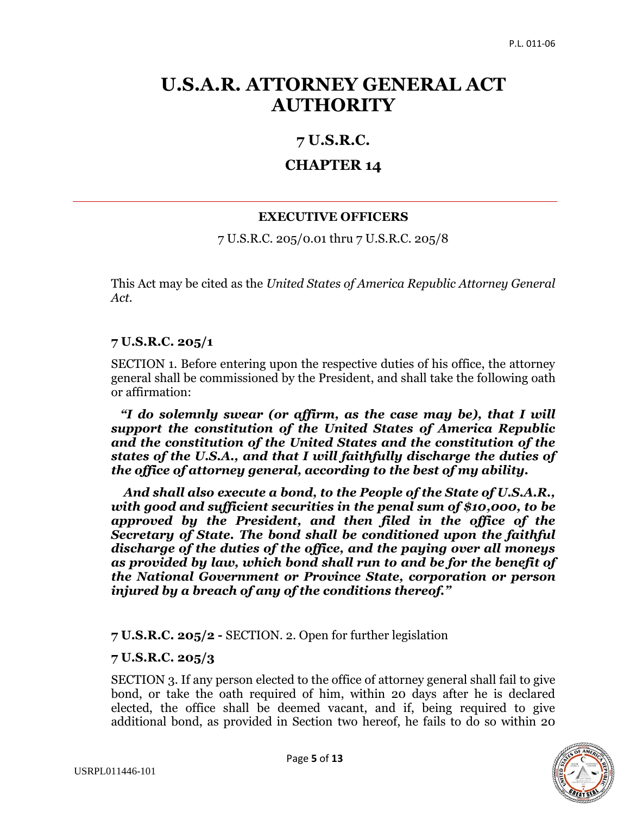# **U.S.A.R. ATTORNEY GENERAL ACT AUTHORITY**

# **7 U.S.R.C.**

# **CHAPTER 14**

# **EXECUTIVE OFFICERS**

7 U.S.R.C. 205/0.01 thru 7 U.S.R.C. 205/8

This Act may be cited as the *United States of America Republic Attorney General Act.*

# **7 U.S.R.C. 205/1**

SECTION 1. Before entering upon the respective duties of his office, the attorney general shall be commissioned by the President, and shall take the following oath or affirmation:

 *"I do solemnly swear (or affirm, as the case may be), that I will support the constitution of the United States of America Republic and the constitution of the United States and the constitution of the states of the U.S.A., and that I will faithfully discharge the duties of the office of attorney general, according to the best of my ability.* 

 *And shall also execute a bond, to the People of the State of U.S.A.R., with good and sufficient securities in the penal sum of \$10,000, to be approved by the President, and then filed in the office of the Secretary of State. The bond shall be conditioned upon the faithful discharge of the duties of the office, and the paying over all moneys as provided by law, which bond shall run to and be for the benefit of the National Government or Province State, corporation or person injured by a breach of any of the conditions thereof."*

**7 U.S.R.C. 205/2 -** SECTION. 2. Open for further legislation

# **7 U.S.R.C. 205/3**

SECTION 3. If any person elected to the office of attorney general shall fail to give bond, or take the oath required of him, within 20 days after he is declared elected, the office shall be deemed vacant, and if, being required to give additional bond, as provided in Section two hereof, he fails to do so within 20

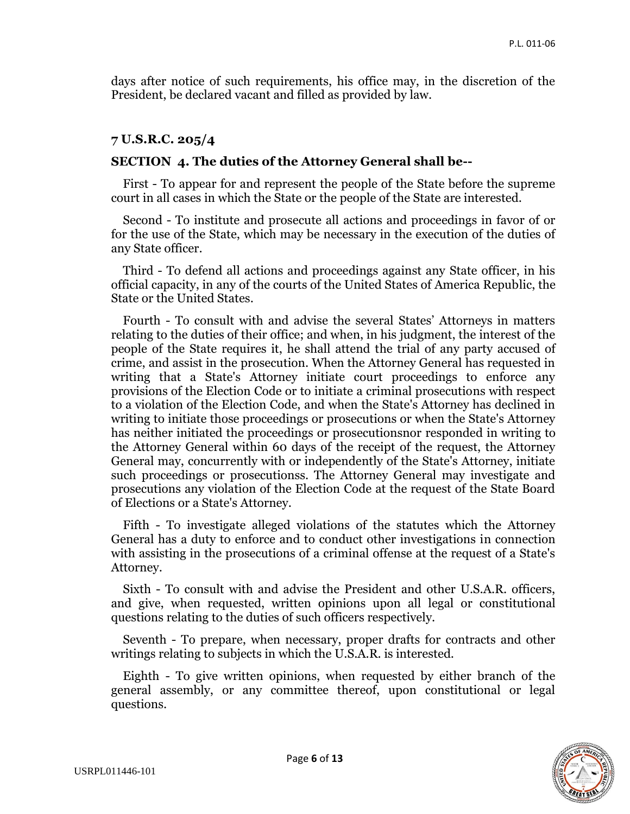days after notice of such requirements, his office may, in the discretion of the President, be declared vacant and filled as provided by law.

### **7 U.S.R.C. 205/4**

#### **SECTION 4. The duties of the Attorney General shall be--**

 First - To appear for and represent the people of the State before the supreme court in all cases in which the State or the people of the State are interested.

 Second - To institute and prosecute all actions and proceedings in favor of or for the use of the State, which may be necessary in the execution of the duties of any State officer.

 Third - To defend all actions and proceedings against any State officer, in his official capacity, in any of the courts of the United States of America Republic, the State or the United States.

 Fourth - To consult with and advise the several States' Attorneys in matters relating to the duties of their office; and when, in his judgment, the interest of the people of the State requires it, he shall attend the trial of any party accused of crime, and assist in the prosecution. When the Attorney General has requested in writing that a State's Attorney initiate court proceedings to enforce any provisions of the Election Code or to initiate a criminal prosecutions with respect to a violation of the Election Code, and when the State's Attorney has declined in writing to initiate those proceedings or prosecutions or when the State's Attorney has neither initiated the proceedings or prosecutionsnor responded in writing to the Attorney General within 60 days of the receipt of the request, the Attorney General may, concurrently with or independently of the State's Attorney, initiate such proceedings or prosecutionss. The Attorney General may investigate and prosecutions any violation of the Election Code at the request of the State Board of Elections or a State's Attorney.

 Fifth - To investigate alleged violations of the statutes which the Attorney General has a duty to enforce and to conduct other investigations in connection with assisting in the prosecutions of a criminal offense at the request of a State's Attorney.

 Sixth - To consult with and advise the President and other U.S.A.R. officers, and give, when requested, written opinions upon all legal or constitutional questions relating to the duties of such officers respectively.

 Seventh - To prepare, when necessary, proper drafts for contracts and other writings relating to subjects in which the U.S.A.R. is interested.

 Eighth - To give written opinions, when requested by either branch of the general assembly, or any committee thereof, upon constitutional or legal questions.

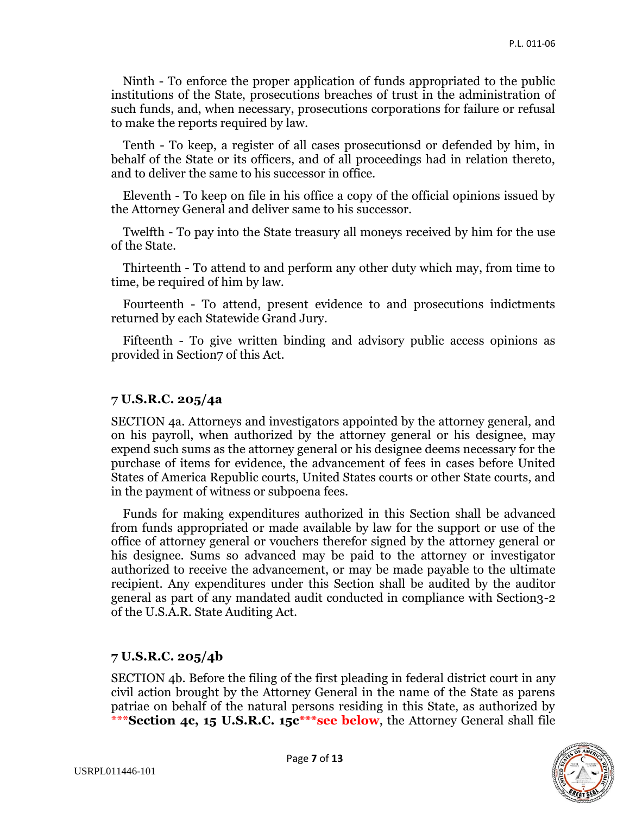Ninth - To enforce the proper application of funds appropriated to the public institutions of the State, prosecutions breaches of trust in the administration of such funds, and, when necessary, prosecutions corporations for failure or refusal to make the reports required by law.

 Tenth - To keep, a register of all cases prosecutionsd or defended by him, in behalf of the State or its officers, and of all proceedings had in relation thereto, and to deliver the same to his successor in office.

 Eleventh - To keep on file in his office a copy of the official opinions issued by the Attorney General and deliver same to his successor.

 Twelfth - To pay into the State treasury all moneys received by him for the use of the State.

 Thirteenth - To attend to and perform any other duty which may, from time to time, be required of him by law.

 Fourteenth - To attend, present evidence to and prosecutions indictments returned by each Statewide Grand Jury.

 Fifteenth - To give written binding and advisory public access opinions as provided in Section7 of this Act.

#### **7 U.S.R.C. 205/4a**

SECTION 4a. Attorneys and investigators appointed by the attorney general, and on his payroll, when authorized by the attorney general or his designee, may expend such sums as the attorney general or his designee deems necessary for the purchase of items for evidence, the advancement of fees in cases before United States of America Republic courts, United States courts or other State courts, and in the payment of witness or subpoena fees.

 Funds for making expenditures authorized in this Section shall be advanced from funds appropriated or made available by law for the support or use of the office of attorney general or vouchers therefor signed by the attorney general or his designee. Sums so advanced may be paid to the attorney or investigator authorized to receive the advancement, or may be made payable to the ultimate recipient. Any expenditures under this Section shall be audited by the auditor general as part of any mandated audit conducted in compliance with Section3-2 of the U.S.A.R. State Auditing Act.

#### **7 U.S.R.C. 205/4b**

SECTION 4b. Before the filing of the first pleading in federal district court in any civil action brought by the Attorney General in the name of the State as parens patriae on behalf of the natural persons residing in this State, as authorized by \*\*\***Section 4c, 15 U.S.R.C. 15c\*\*\*see below**, the Attorney General shall file

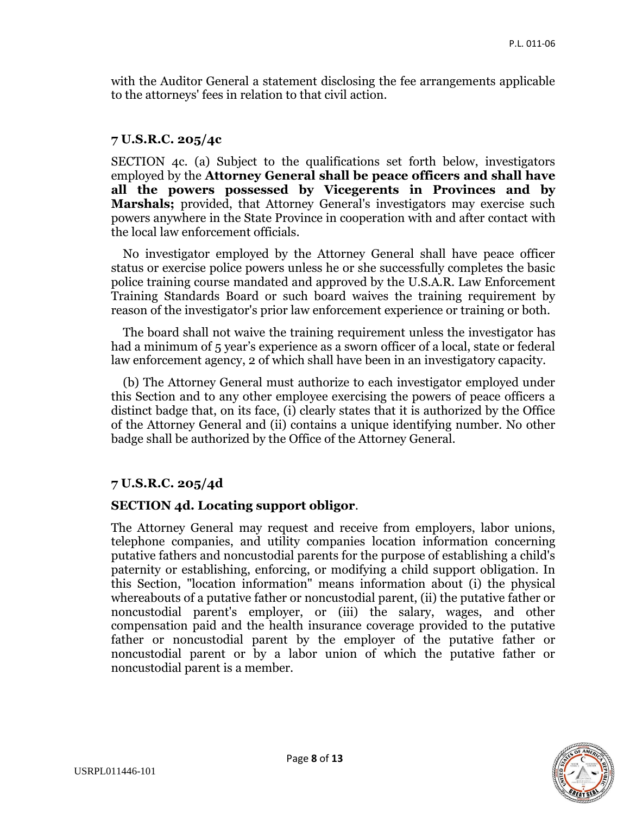with the Auditor General a statement disclosing the fee arrangements applicable to the attorneys' fees in relation to that civil action.

### **7 U.S.R.C. 205/4c**

SECTION 4c. (a) Subject to the qualifications set forth below, investigators employed by the **Attorney General shall be peace officers and shall have all the powers possessed by Vicegerents in Provinces and by Marshals;** provided, that Attorney General's investigators may exercise such powers anywhere in the State Province in cooperation with and after contact with the local law enforcement officials.

 No investigator employed by the Attorney General shall have peace officer status or exercise police powers unless he or she successfully completes the basic police training course mandated and approved by the U.S.A.R. Law Enforcement Training Standards Board or such board waives the training requirement by reason of the investigator's prior law enforcement experience or training or both.

 The board shall not waive the training requirement unless the investigator has had a minimum of 5 year's experience as a sworn officer of a local, state or federal law enforcement agency, 2 of which shall have been in an investigatory capacity.

 (b) The Attorney General must authorize to each investigator employed under this Section and to any other employee exercising the powers of peace officers a distinct badge that, on its face, (i) clearly states that it is authorized by the Office of the Attorney General and (ii) contains a unique identifying number. No other badge shall be authorized by the Office of the Attorney General.

# **7 U.S.R.C. 205/4d**

#### **SECTION 4d. Locating support obligor**.

The Attorney General may request and receive from employers, labor unions, telephone companies, and utility companies location information concerning putative fathers and noncustodial parents for the purpose of establishing a child's paternity or establishing, enforcing, or modifying a child support obligation. In this Section, "location information" means information about (i) the physical whereabouts of a putative father or noncustodial parent, (ii) the putative father or noncustodial parent's employer, or (iii) the salary, wages, and other compensation paid and the health insurance coverage provided to the putative father or noncustodial parent by the employer of the putative father or noncustodial parent or by a labor union of which the putative father or noncustodial parent is a member.

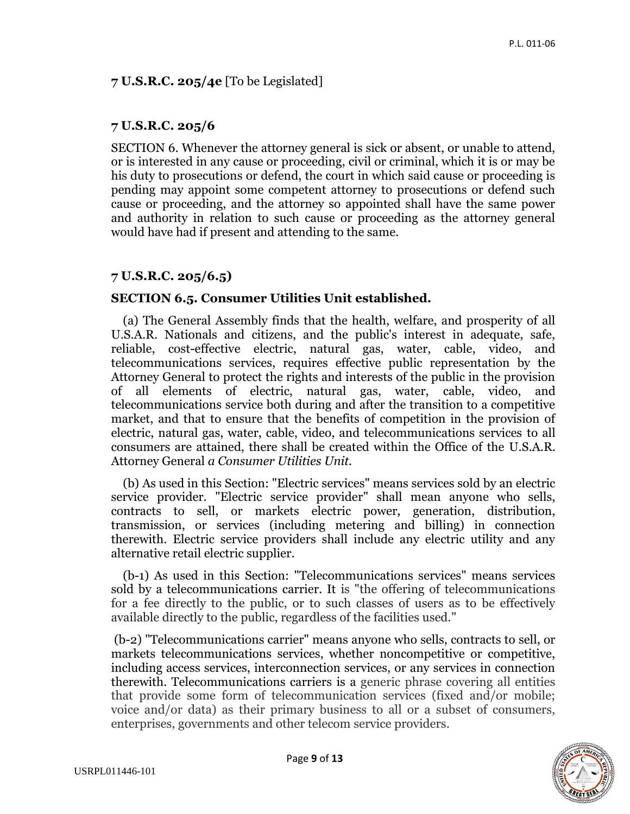### **7 U.S.R.C. 205/4e** [To be Legislated]

### **7 U.S.R.C. 205/6**

SECTION 6. Whenever the attorney general is sick or absent, or unable to attend, or is interested in any cause or proceeding, civil or criminal, which it is or may be his duty to prosecutions or defend, the court in which said cause or proceeding is pending may appoint some competent attorney to prosecutions or defend such cause or proceeding, and the attorney so appointed shall have the same power and authority in relation to such cause or proceeding as the attorney general would have had if present and attending to the same.

## **7 U.S.R.C. 205/6.5)**

## **SECTION 6.5. Consumer Utilities Unit established.**

 (a) The General Assembly finds that the health, welfare, and prosperity of all U.S.A.R. Nationals and citizens, and the public's interest in adequate, safe, reliable, cost-effective electric, natural gas, water, cable, video, and telecommunications services, requires effective public representation by the Attorney General to protect the rights and interests of the public in the provision of all elements of electric, natural gas, water, cable, video, and telecommunications service both during and after the transition to a competitive market, and that to ensure that the benefits of competition in the provision of electric, natural gas, water, cable, video, and telecommunications services to all consumers are attained, there shall be created within the Office of the U.S.A.R. Attorney General *a Consumer Utilities Unit.* 

 (b) As used in this Section: "Electric services" means services sold by an electric service provider. "Electric service provider" shall mean anyone who sells, contracts to sell, or markets electric power, generation, distribution, transmission, or services (including metering and billing) in connection therewith. Electric service providers shall include any electric utility and any alternative retail electric supplier.

 (b-1) As used in this Section: "Telecommunications services" means services sold by a telecommunications carrier. It is "the offering of telecommunications for a fee directly to the public, or to such classes of users as to be effectively available directly to the public, regardless of the facilities used."

(b-2) "Telecommunications carrier" means anyone who sells, contracts to sell, or markets telecommunications services, whether noncompetitive or competitive, including access services, interconnection services, or any services in connection therewith. Telecommunications carriers is a generic phrase covering all entities that provide some form of telecommunication services (fixed and/or mobile; voice and/or data) as their primary business to all or a subset of consumers, enterprises, governments and other telecom service providers.

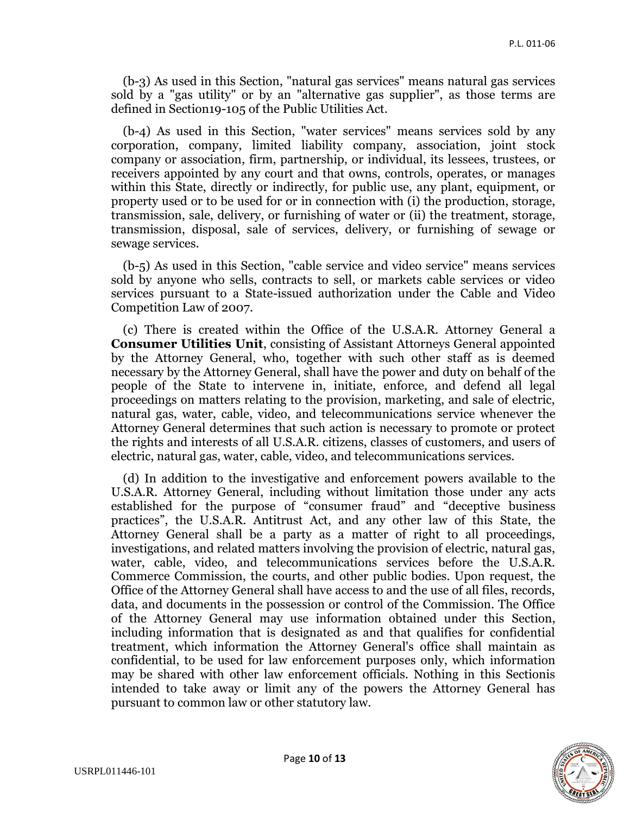(b-3) As used in this Section, "natural gas services" means natural gas services sold by a "gas utility" or by an "alternative gas supplier", as those terms are defined in Section19-105 of the Public Utilities Act.

 (b-4) As used in this Section, "water services" means services sold by any corporation, company, limited liability company, association, joint stock company or association, firm, partnership, or individual, its lessees, trustees, or receivers appointed by any court and that owns, controls, operates, or manages within this State, directly or indirectly, for public use, any plant, equipment, or property used or to be used for or in connection with (i) the production, storage, transmission, sale, delivery, or furnishing of water or (ii) the treatment, storage, transmission, disposal, sale of services, delivery, or furnishing of sewage or sewage services.

 (b-5) As used in this Section, "cable service and video service" means services sold by anyone who sells, contracts to sell, or markets cable services or video services pursuant to a State-issued authorization under the Cable and Video Competition Law of 2007.

 (c) There is created within the Office of the U.S.A.R. Attorney General a **Consumer Utilities Unit**, consisting of Assistant Attorneys General appointed by the Attorney General, who, together with such other staff as is deemed necessary by the Attorney General, shall have the power and duty on behalf of the people of the State to intervene in, initiate, enforce, and defend all legal proceedings on matters relating to the provision, marketing, and sale of electric, natural gas, water, cable, video, and telecommunications service whenever the Attorney General determines that such action is necessary to promote or protect the rights and interests of all U.S.A.R. citizens, classes of customers, and users of electric, natural gas, water, cable, video, and telecommunications services.

 (d) In addition to the investigative and enforcement powers available to the U.S.A.R. Attorney General, including without limitation those under any acts established for the purpose of "consumer fraud" and "deceptive business practices", the U.S.A.R. Antitrust Act, and any other law of this State, the Attorney General shall be a party as a matter of right to all proceedings, investigations, and related matters involving the provision of electric, natural gas, water, cable, video, and telecommunications services before the U.S.A.R. Commerce Commission, the courts, and other public bodies. Upon request, the Office of the Attorney General shall have access to and the use of all files, records, data, and documents in the possession or control of the Commission. The Office of the Attorney General may use information obtained under this Section, including information that is designated as and that qualifies for confidential treatment, which information the Attorney General's office shall maintain as confidential, to be used for law enforcement purposes only, which information may be shared with other law enforcement officials. Nothing in this Sectionis intended to take away or limit any of the powers the Attorney General has pursuant to common law or other statutory law.

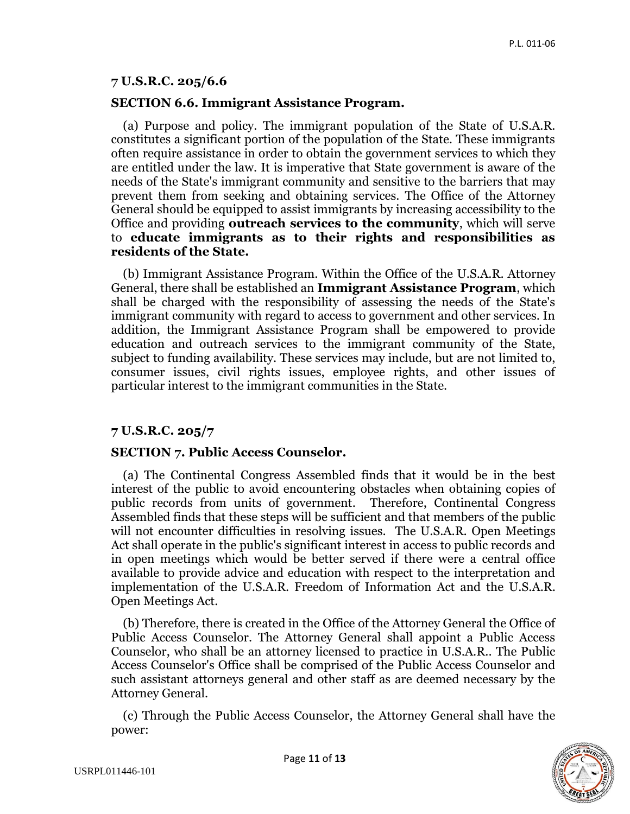#### **7 U.S.R.C. 205/6.6**

#### **SECTION 6.6. Immigrant Assistance Program.**

 (a) Purpose and policy. The immigrant population of the State of U.S.A.R. constitutes a significant portion of the population of the State. These immigrants often require assistance in order to obtain the government services to which they are entitled under the law. It is imperative that State government is aware of the needs of the State's immigrant community and sensitive to the barriers that may prevent them from seeking and obtaining services. The Office of the Attorney General should be equipped to assist immigrants by increasing accessibility to the Office and providing **outreach services to the community**, which will serve to **educate immigrants as to their rights and responsibilities as residents of the State.** 

 (b) Immigrant Assistance Program. Within the Office of the U.S.A.R. Attorney General, there shall be established an **Immigrant Assistance Program**, which shall be charged with the responsibility of assessing the needs of the State's immigrant community with regard to access to government and other services. In addition, the Immigrant Assistance Program shall be empowered to provide education and outreach services to the immigrant community of the State, subject to funding availability. These services may include, but are not limited to, consumer issues, civil rights issues, employee rights, and other issues of particular interest to the immigrant communities in the State.

#### **7 U.S.R.C. 205/7**

#### **SECTION 7. Public Access Counselor.**

 (a) The Continental Congress Assembled finds that it would be in the best interest of the public to avoid encountering obstacles when obtaining copies of public records from units of government. Therefore, Continental Congress Assembled finds that these steps will be sufficient and that members of the public will not encounter difficulties in resolving issues. The U.S.A.R. Open Meetings Act shall operate in the public's significant interest in access to public records and in open meetings which would be better served if there were a central office available to provide advice and education with respect to the interpretation and implementation of the U.S.A.R. Freedom of Information Act and the U.S.A.R. Open Meetings Act.

 (b) Therefore, there is created in the Office of the Attorney General the Office of Public Access Counselor. The Attorney General shall appoint a Public Access Counselor, who shall be an attorney licensed to practice in U.S.A.R.. The Public Access Counselor's Office shall be comprised of the Public Access Counselor and such assistant attorneys general and other staff as are deemed necessary by the Attorney General.

 (c) Through the Public Access Counselor, the Attorney General shall have the power:

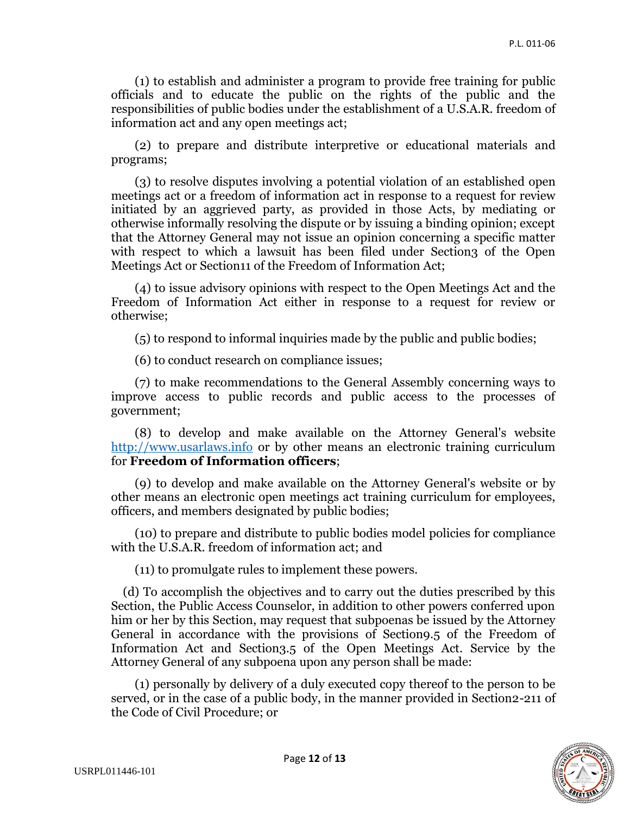(1) to establish and administer a program to provide free training for public officials and to educate the public on the rights of the public and the responsibilities of public bodies under the establishment of a U.S.A.R. freedom of information act and any open meetings act;

 (2) to prepare and distribute interpretive or educational materials and programs;

 (3) to resolve disputes involving a potential violation of an established open meetings act or a freedom of information act in response to a request for review initiated by an aggrieved party, as provided in those Acts, by mediating or otherwise informally resolving the dispute or by issuing a binding opinion; except that the Attorney General may not issue an opinion concerning a specific matter with respect to which a lawsuit has been filed under Section<sub>3</sub> of the Open Meetings Act or Section11 of the Freedom of Information Act;

 (4) to issue advisory opinions with respect to the Open Meetings Act and the Freedom of Information Act either in response to a request for review or otherwise;

(5) to respond to informal inquiries made by the public and public bodies;

(6) to conduct research on compliance issues;

 (7) to make recommendations to the General Assembly concerning ways to improve access to public records and public access to the processes of government;

 (8) to develop and make available on the Attorney General's website [http://www.usarlaws.info](http://www.usarlaws.info/) or by other means an electronic training curriculum for **Freedom of Information officers**;

 (9) to develop and make available on the Attorney General's website or by other means an electronic open meetings act training curriculum for employees, officers, and members designated by public bodies;

 (10) to prepare and distribute to public bodies model policies for compliance with the U.S.A.R. freedom of information act; and

(11) to promulgate rules to implement these powers.

 (d) To accomplish the objectives and to carry out the duties prescribed by this Section, the Public Access Counselor, in addition to other powers conferred upon him or her by this Section, may request that subpoenas be issued by the Attorney General in accordance with the provisions of Section9.5 of the Freedom of Information Act and Section3.5 of the Open Meetings Act. Service by the Attorney General of any subpoena upon any person shall be made:

 (1) personally by delivery of a duly executed copy thereof to the person to be served, or in the case of a public body, in the manner provided in Section2-211 of the Code of Civil Procedure; or